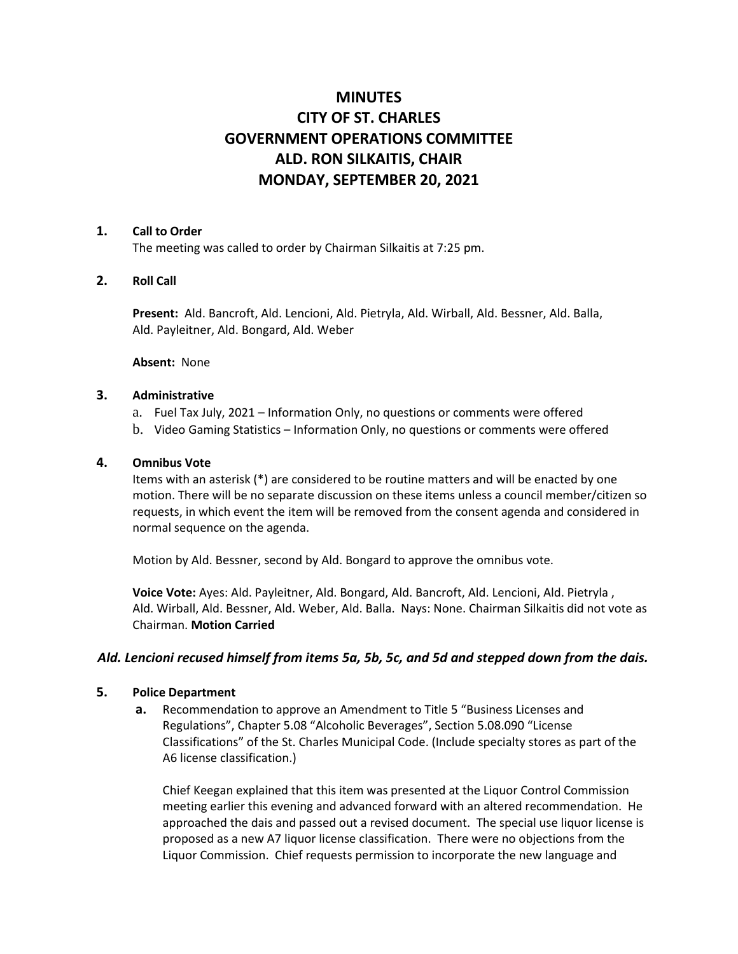# **MINUTES CITY OF ST. CHARLES GOVERNMENT OPERATIONS COMMITTEE ALD. RON SILKAITIS, CHAIR MONDAY, SEPTEMBER 20, 2021**

## **1. Call to Order**

The meeting was called to order by Chairman Silkaitis at 7:25 pm.

# **2. Roll Call**

**Present:** Ald. Bancroft, Ald. Lencioni, Ald. Pietryla, Ald. Wirball, Ald. Bessner, Ald. Balla, Ald. Payleitner, Ald. Bongard, Ald. Weber

**Absent:** None

## **3. Administrative**

- a. Fuel Tax July, 2021 Information Only, no questions or comments were offered
- b. Video Gaming Statistics Information Only, no questions or comments were offered

## **4. Omnibus Vote**

Items with an asterisk (\*) are considered to be routine matters and will be enacted by one motion. There will be no separate discussion on these items unless a council member/citizen so requests, in which event the item will be removed from the consent agenda and considered in normal sequence on the agenda.

Motion by Ald. Bessner, second by Ald. Bongard to approve the omnibus vote.

**Voice Vote:** Ayes: Ald. Payleitner, Ald. Bongard, Ald. Bancroft, Ald. Lencioni, Ald. Pietryla , Ald. Wirball, Ald. Bessner, Ald. Weber, Ald. Balla. Nays: None. Chairman Silkaitis did not vote as Chairman. **Motion Carried**

# *Ald. Lencioni recused himself from items 5a, 5b, 5c, and 5d and stepped down from the dais.*

#### **5. Police Department**

**a.** Recommendation to approve an Amendment to Title 5 "Business Licenses and Regulations", Chapter 5.08 "Alcoholic Beverages", Section 5.08.090 "License Classifications" of the St. Charles Municipal Code. (Include specialty stores as part of the A6 license classification.)

Chief Keegan explained that this item was presented at the Liquor Control Commission meeting earlier this evening and advanced forward with an altered recommendation. He approached the dais and passed out a revised document. The special use liquor license is proposed as a new A7 liquor license classification. There were no objections from the Liquor Commission. Chief requests permission to incorporate the new language and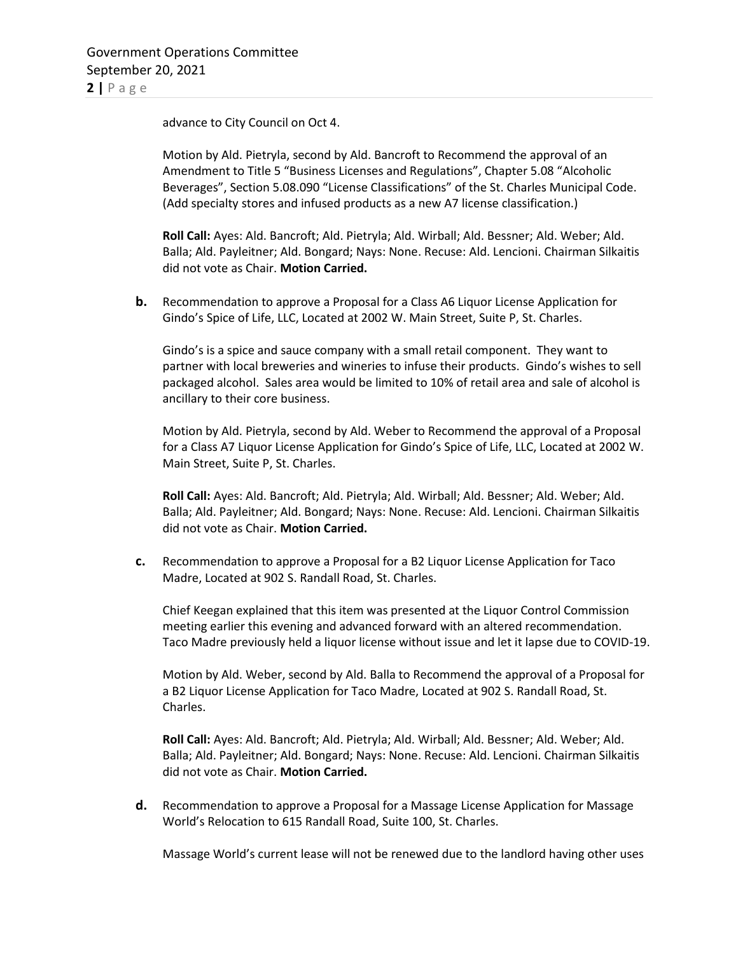advance to City Council on Oct 4.

Motion by Ald. Pietryla, second by Ald. Bancroft to Recommend the approval of an Amendment to Title 5 "Business Licenses and Regulations", Chapter 5.08 "Alcoholic Beverages", Section 5.08.090 "License Classifications" of the St. Charles Municipal Code. (Add specialty stores and infused products as a new A7 license classification.)

**Roll Call:** Ayes: Ald. Bancroft; Ald. Pietryla; Ald. Wirball; Ald. Bessner; Ald. Weber; Ald. Balla; Ald. Payleitner; Ald. Bongard; Nays: None. Recuse: Ald. Lencioni. Chairman Silkaitis did not vote as Chair. **Motion Carried.** 

**b.** Recommendation to approve a Proposal for a Class A6 Liquor License Application for Gindo's Spice of Life, LLC, Located at 2002 W. Main Street, Suite P, St. Charles.

Gindo's is a spice and sauce company with a small retail component. They want to partner with local breweries and wineries to infuse their products. Gindo's wishes to sell packaged alcohol. Sales area would be limited to 10% of retail area and sale of alcohol is ancillary to their core business.

Motion by Ald. Pietryla, second by Ald. Weber to Recommend the approval of a Proposal for a Class A7 Liquor License Application for Gindo's Spice of Life, LLC, Located at 2002 W. Main Street, Suite P, St. Charles.

**Roll Call:** Ayes: Ald. Bancroft; Ald. Pietryla; Ald. Wirball; Ald. Bessner; Ald. Weber; Ald. Balla; Ald. Payleitner; Ald. Bongard; Nays: None. Recuse: Ald. Lencioni. Chairman Silkaitis did not vote as Chair. **Motion Carried.** 

**c.** Recommendation to approve a Proposal for a B2 Liquor License Application for Taco Madre, Located at 902 S. Randall Road, St. Charles.

Chief Keegan explained that this item was presented at the Liquor Control Commission meeting earlier this evening and advanced forward with an altered recommendation. Taco Madre previously held a liquor license without issue and let it lapse due to COVID-19.

Motion by Ald. Weber, second by Ald. Balla to Recommend the approval of a Proposal for a B2 Liquor License Application for Taco Madre, Located at 902 S. Randall Road, St. Charles.

**Roll Call:** Ayes: Ald. Bancroft; Ald. Pietryla; Ald. Wirball; Ald. Bessner; Ald. Weber; Ald. Balla; Ald. Payleitner; Ald. Bongard; Nays: None. Recuse: Ald. Lencioni. Chairman Silkaitis did not vote as Chair. **Motion Carried.** 

**d.** Recommendation to approve a Proposal for a Massage License Application for Massage World's Relocation to 615 Randall Road, Suite 100, St. Charles.

Massage World's current lease will not be renewed due to the landlord having other uses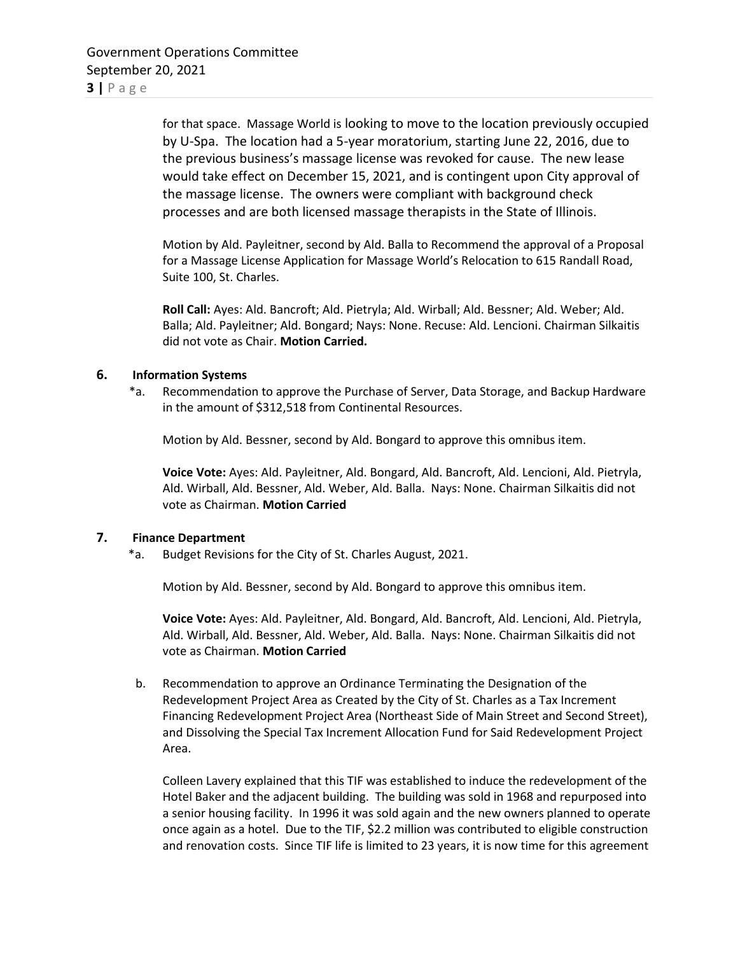for that space. Massage World is looking to move to the location previously occupied by U-Spa. The location had a 5-year moratorium, starting June 22, 2016, due to the previous business's massage license was revoked for cause. The new lease would take effect on December 15, 2021, and is contingent upon City approval of the massage license. The owners were compliant with background check processes and are both licensed massage therapists in the State of Illinois.

Motion by Ald. Payleitner, second by Ald. Balla to Recommend the approval of a Proposal for a Massage License Application for Massage World's Relocation to 615 Randall Road, Suite 100, St. Charles.

**Roll Call:** Ayes: Ald. Bancroft; Ald. Pietryla; Ald. Wirball; Ald. Bessner; Ald. Weber; Ald. Balla; Ald. Payleitner; Ald. Bongard; Nays: None. Recuse: Ald. Lencioni. Chairman Silkaitis did not vote as Chair. **Motion Carried.** 

## **6. Information Systems**

 \*a. Recommendation to approve the Purchase of Server, Data Storage, and Backup Hardware in the amount of \$312,518 from Continental Resources.

Motion by Ald. Bessner, second by Ald. Bongard to approve this omnibus item.

**Voice Vote:** Ayes: Ald. Payleitner, Ald. Bongard, Ald. Bancroft, Ald. Lencioni, Ald. Pietryla, Ald. Wirball, Ald. Bessner, Ald. Weber, Ald. Balla. Nays: None. Chairman Silkaitis did not vote as Chairman. **Motion Carried**

### **7. Finance Department**

\*a. Budget Revisions for the City of St. Charles August, 2021.

Motion by Ald. Bessner, second by Ald. Bongard to approve this omnibus item.

**Voice Vote:** Ayes: Ald. Payleitner, Ald. Bongard, Ald. Bancroft, Ald. Lencioni, Ald. Pietryla, Ald. Wirball, Ald. Bessner, Ald. Weber, Ald. Balla. Nays: None. Chairman Silkaitis did not vote as Chairman. **Motion Carried**

b. Recommendation to approve an Ordinance Terminating the Designation of the Redevelopment Project Area as Created by the City of St. Charles as a Tax Increment Financing Redevelopment Project Area (Northeast Side of Main Street and Second Street), and Dissolving the Special Tax Increment Allocation Fund for Said Redevelopment Project Area.

Colleen Lavery explained that this TIF was established to induce the redevelopment of the Hotel Baker and the adjacent building. The building was sold in 1968 and repurposed into a senior housing facility. In 1996 it was sold again and the new owners planned to operate once again as a hotel. Due to the TIF, \$2.2 million was contributed to eligible construction and renovation costs. Since TIF life is limited to 23 years, it is now time for this agreement